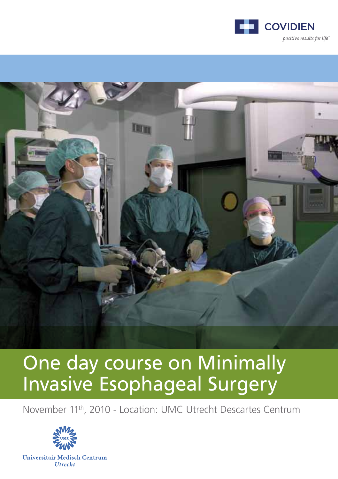



# One day course on Minimally Invasive Esophageal Surgery

November 11th, 2010 - Location: UMC Utrecht Descartes Centrum

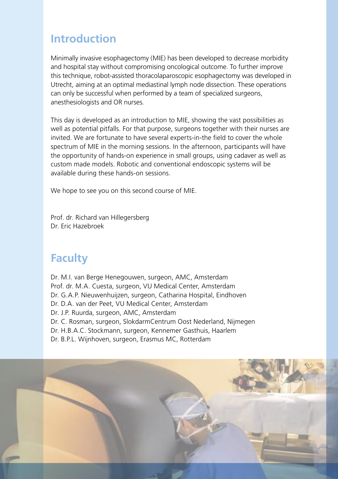#### **Introduction**

Minimally invasive esophagectomy (MIE) has been developed to decrease morbidity and hospital stay without compromising oncological outcome. To further improve this technique, robot-assisted thoracolaparoscopic esophagectomy was developed in Utrecht, aiming at an optimal mediastinal lymph node dissection. These operations can only be successful when performed by a team of specialized surgeons, anesthesiologists and OR nurses.

This day is developed as an introduction to MIE, showing the vast possibilities as well as potential pitfalls. For that purpose, surgeons together with their nurses are invited. We are fortunate to have several experts-in-the field to cover the whole spectrum of MIE in the morning sessions. In the afternoon, participants will have the opportunity of hands-on experience in small groups, using cadaver as well as custom made models. Robotic and conventional endoscopic systems will be available during these hands-on sessions.

We hope to see you on this second course of MIE.

Prof. dr. Richard van Hillegersberg Dr. Eric Hazebroek

#### **Faculty**

Dr. M.I. van Berge Henegouwen, surgeon, AMC, Amsterdam Prof. dr. M.A. Cuesta, surgeon, VU Medical Center, Amsterdam Dr. G.A.P. Nieuwenhuijzen, surgeon, Catharina Hospital, Eindhoven Dr. D.A. van der Peet, VU Medical Center, Amsterdam Dr. J.P. Ruurda, surgeon, AMC, Amsterdam Dr. C. Rosman, surgeon, SlokdarmCentrum Oost Nederland, Nijmegen Dr. H.B.A.C. Stockmann, surgeon, Kennemer Gasthuis, Haarlem Dr. B.P.L. Wijnhoven, surgeon, Erasmus MC, Rotterdam

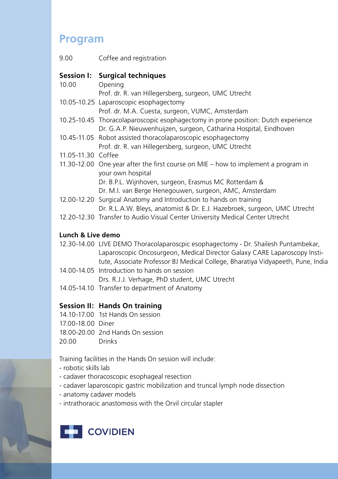### **Program**

| 9.00               | Coffee and registration                                                              |
|--------------------|--------------------------------------------------------------------------------------|
|                    | Session I: Surgical techniques                                                       |
| 10.00              | Opening                                                                              |
|                    | Prof. dr. R. van Hillegersberg, surgeon, UMC Utrecht                                 |
|                    | 10.05-10.25 Laparoscopic esophagectomy                                               |
|                    | Prof. dr. M.A. Cuesta, surgeon, VUMC, Amsterdam                                      |
|                    | 10.25-10.45 Thoracolaparoscopic esophagectomy in prone position: Dutch experience    |
|                    | Dr. G.A.P. Nieuwenhuijzen, surgeon, Catharina Hospital, Eindhoven                    |
|                    | 10.45-11.05 Robot assisted thoracolaparoscopic esophagectomy                         |
|                    | Prof. dr. R. van Hillegersberg, surgeon, UMC Utrecht                                 |
| 11.05-11.30 Coffee |                                                                                      |
|                    | 11.30-12.00 One year after the first course on MIE $-$ how to implement a program in |
|                    | your own hospital                                                                    |
|                    | Dr. B.P.L. Wijnhoven, surgeon, Erasmus MC Rotterdam &                                |
|                    | Dr. M.I. van Berge Henegouwen, surgeon, AMC, Amsterdam                               |
|                    | 12.00-12.20 Surgical Anatomy and Introduction to hands on training                   |
|                    | Dr. R.L.A.W. Bleys, anatomist & Dr. E.J. Hazebroek, surgeon, UMC Utrecht             |
|                    | 12.20-12.30 Transfer to Audio Visual Center University Medical Center Utrecht        |
| Lunch & Live demo  |                                                                                      |
|                    | 12.30-14.00 LIVE DEMO Thoracolaparoscpic esophagectomy - Dr. Shailesh Puntambekar,   |
|                    | Laparoscopic Oncosurgeon, Medical Director Galaxy CARE Laparoscopy Insti-            |

- Laparoscopic Oncosurgeon, Medical Director Galaxy CARE Laparoscopy Institute, Associate Professor BJ Medical College, Bharatiya Vidyapeeth, Pune, India 14.00-14.05 Introduction to hands on session
	- Drs. R.J.J. Verhage, PhD student, UMC Utrecht
- 14.05-14.10 Transfer to department of Anatomy

#### **Session II: Hands On training**

- 14.10-17.00 1st Hands On session
- 17.00-18.00 Diner
- 18.00-20.00 2nd Hands On session
- 20.00 Drinks

Training facilities in the Hands On session will include:

- robotic skills lab
- cadaver thoracoscopic esophageal resection
- cadaver laparoscopic gastric mobilization and truncal lymph node dissection
- anatomy cadaver models
- intrathoracic anastomosis with the Orvil circular stapler